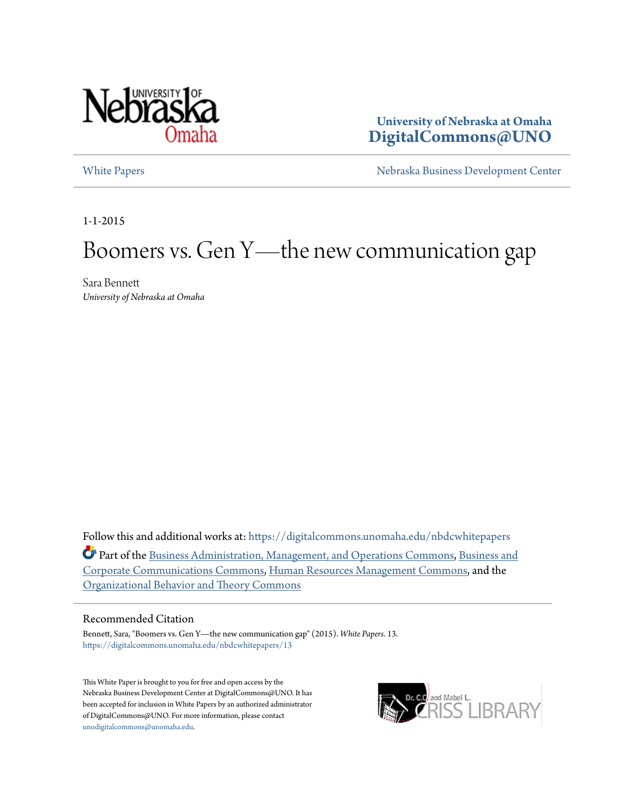

**University of Nebraska at Omaha [DigitalCommons@UNO](https://digitalcommons.unomaha.edu?utm_source=digitalcommons.unomaha.edu%2Fnbdcwhitepapers%2F13&utm_medium=PDF&utm_campaign=PDFCoverPages)**

[White Papers](https://digitalcommons.unomaha.edu/nbdcwhitepapers?utm_source=digitalcommons.unomaha.edu%2Fnbdcwhitepapers%2F13&utm_medium=PDF&utm_campaign=PDFCoverPages) **[Nebraska Business Development Center](https://digitalcommons.unomaha.edu/nbdc?utm_source=digitalcommons.unomaha.edu%2Fnbdcwhitepapers%2F13&utm_medium=PDF&utm_campaign=PDFCoverPages)** 

1-1-2015

# Boomers vs. Gen Y—the new communication gap

Sara Bennett *University of Nebraska at Omaha*

Follow this and additional works at: [https://digitalcommons.unomaha.edu/nbdcwhitepapers](https://digitalcommons.unomaha.edu/nbdcwhitepapers?utm_source=digitalcommons.unomaha.edu%2Fnbdcwhitepapers%2F13&utm_medium=PDF&utm_campaign=PDFCoverPages) Part of the [Business Administration, Management, and Operations Commons](http://network.bepress.com/hgg/discipline/623?utm_source=digitalcommons.unomaha.edu%2Fnbdcwhitepapers%2F13&utm_medium=PDF&utm_campaign=PDFCoverPages), [Business and](http://network.bepress.com/hgg/discipline/627?utm_source=digitalcommons.unomaha.edu%2Fnbdcwhitepapers%2F13&utm_medium=PDF&utm_campaign=PDFCoverPages) [Corporate Communications Commons](http://network.bepress.com/hgg/discipline/627?utm_source=digitalcommons.unomaha.edu%2Fnbdcwhitepapers%2F13&utm_medium=PDF&utm_campaign=PDFCoverPages), [Human Resources Management Commons](http://network.bepress.com/hgg/discipline/633?utm_source=digitalcommons.unomaha.edu%2Fnbdcwhitepapers%2F13&utm_medium=PDF&utm_campaign=PDFCoverPages), and the [Organizational Behavior and Theory Commons](http://network.bepress.com/hgg/discipline/639?utm_source=digitalcommons.unomaha.edu%2Fnbdcwhitepapers%2F13&utm_medium=PDF&utm_campaign=PDFCoverPages)

#### Recommended Citation

Bennett, Sara, "Boomers vs. Gen Y—the new communication gap" (2015). *White Papers*. 13. [https://digitalcommons.unomaha.edu/nbdcwhitepapers/13](https://digitalcommons.unomaha.edu/nbdcwhitepapers/13?utm_source=digitalcommons.unomaha.edu%2Fnbdcwhitepapers%2F13&utm_medium=PDF&utm_campaign=PDFCoverPages)

This White Paper is brought to you for free and open access by the Nebraska Business Development Center at DigitalCommons@UNO. It has been accepted for inclusion in White Papers by an authorized administrator of DigitalCommons@UNO. For more information, please contact [unodigitalcommons@unomaha.edu](mailto:unodigitalcommons@unomaha.edu).

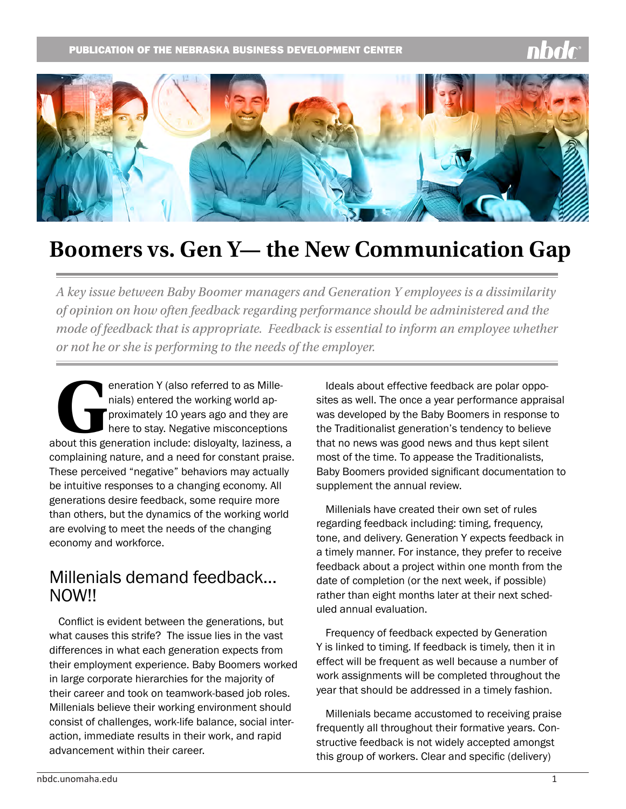

# **Boomers vs. Gen Y— the New Communication Gap**

*A key issue between Baby Boomer managers and Generation Y employees is a dissimilarity of opinion on how often feedback regarding performance should be administered and the mode of feedback that is appropriate. Feedback is essential to inform an employee whether or not he or she is performing to the needs of the employer.* 

eneration Y (also referred to as Mille-<br>
nials) entered the working world ap-<br>
proximately 10 years ago and they are<br>
here to stay. Negative misconceptions<br>
about this generation include: disloyalty, laziness, a nials) entered the working world approximately 10 years ago and they are here to stay. Negative misconceptions complaining nature, and a need for constant praise. These perceived "negative" behaviors may actually be intuitive responses to a changing economy. All generations desire feedback, some require more than others, but the dynamics of the working world are evolving to meet the needs of the changing economy and workforce.

#### Millenials demand feedback… NOW!!

Conflict is evident between the generations, but what causes this strife? The issue lies in the vast differences in what each generation expects from their employment experience. Baby Boomers worked in large corporate hierarchies for the majority of their career and took on teamwork-based job roles. Millenials believe their working environment should consist of challenges, work-life balance, social interaction, immediate results in their work, and rapid advancement within their career.

Ideals about effective feedback are polar opposites as well. The once a year performance appraisal was developed by the Baby Boomers in response to the Traditionalist generation's tendency to believe that no news was good news and thus kept silent most of the time. To appease the Traditionalists, Baby Boomers provided significant documentation to supplement the annual review.

Millenials have created their own set of rules regarding feedback including: timing, frequency, tone, and delivery. Generation Y expects feedback in a timely manner. For instance, they prefer to receive feedback about a project within one month from the date of completion (or the next week, if possible) rather than eight months later at their next scheduled annual evaluation.

Frequency of feedback expected by Generation Y is linked to timing. If feedback is timely, then it in effect will be frequent as well because a number of work assignments will be completed throughout the year that should be addressed in a timely fashion.

Millenials became accustomed to receiving praise frequently all throughout their formative years. Constructive feedback is not widely accepted amongst this group of workers. Clear and specific (delivery)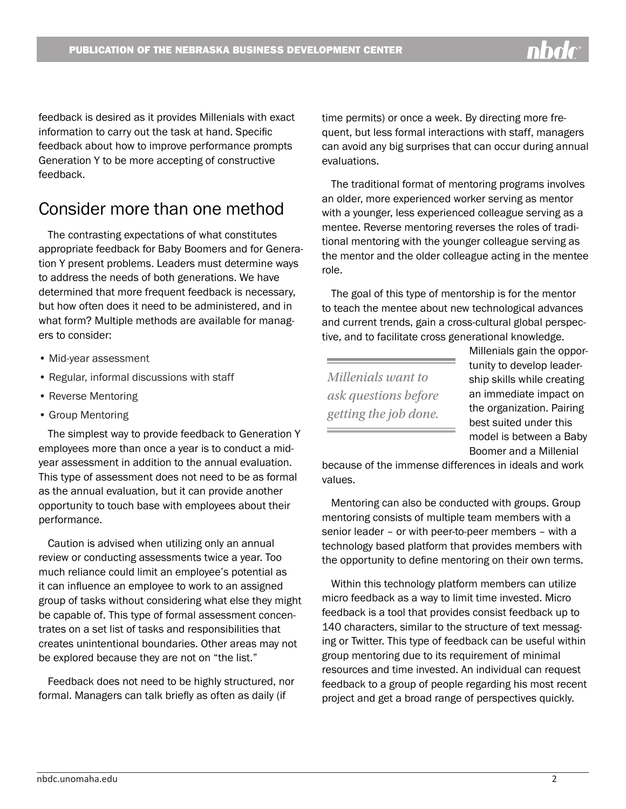feedback is desired as it provides Millenials with exact information to carry out the task at hand. Specific feedback about how to improve performance prompts Generation Y to be more accepting of constructive feedback.

## Consider more than one method

The contrasting expectations of what constitutes appropriate feedback for Baby Boomers and for Generation Y present problems. Leaders must determine ways to address the needs of both generations. We have determined that more frequent feedback is necessary, but how often does it need to be administered, and in what form? Multiple methods are available for managers to consider:

- Mid-year assessment
- Regular, informal discussions with staff
- Reverse Mentoring
- Group Mentoring

The simplest way to provide feedback to Generation Y employees more than once a year is to conduct a midyear assessment in addition to the annual evaluation. This type of assessment does not need to be as formal as the annual evaluation, but it can provide another opportunity to touch base with employees about their performance.

Caution is advised when utilizing only an annual review or conducting assessments twice a year. Too much reliance could limit an employee's potential as it can influence an employee to work to an assigned group of tasks without considering what else they might be capable of. This type of formal assessment concentrates on a set list of tasks and responsibilities that creates unintentional boundaries. Other areas may not be explored because they are not on "the list."

Feedback does not need to be highly structured, nor formal. Managers can talk briefly as often as daily (if

time permits) or once a week. By directing more frequent, but less formal interactions with staff, managers can avoid any big surprises that can occur during annual evaluations.

The traditional format of mentoring programs involves an older, more experienced worker serving as mentor with a younger, less experienced colleague serving as a mentee. Reverse mentoring reverses the roles of traditional mentoring with the younger colleague serving as the mentor and the older colleague acting in the mentee role.

The goal of this type of mentorship is for the mentor to teach the mentee about new technological advances and current trends, gain a cross-cultural global perspective, and to facilitate cross generational knowledge.

*Millenials want to ask questions before getting the job done.*

Millenials gain the opportunity to develop leadership skills while creating an immediate impact on the organization. Pairing best suited under this model is between a Baby Boomer and a Millenial

because of the immense differences in ideals and work values.

Mentoring can also be conducted with groups. Group mentoring consists of multiple team members with a senior leader – or with peer-to-peer members – with a technology based platform that provides members with the opportunity to define mentoring on their own terms.

Within this technology platform members can utilize micro feedback as a way to limit time invested. Micro feedback is a tool that provides consist feedback up to 140 characters, similar to the structure of text messaging or Twitter. This type of feedback can be useful within group mentoring due to its requirement of minimal resources and time invested. An individual can request feedback to a group of people regarding his most recent project and get a broad range of perspectives quickly.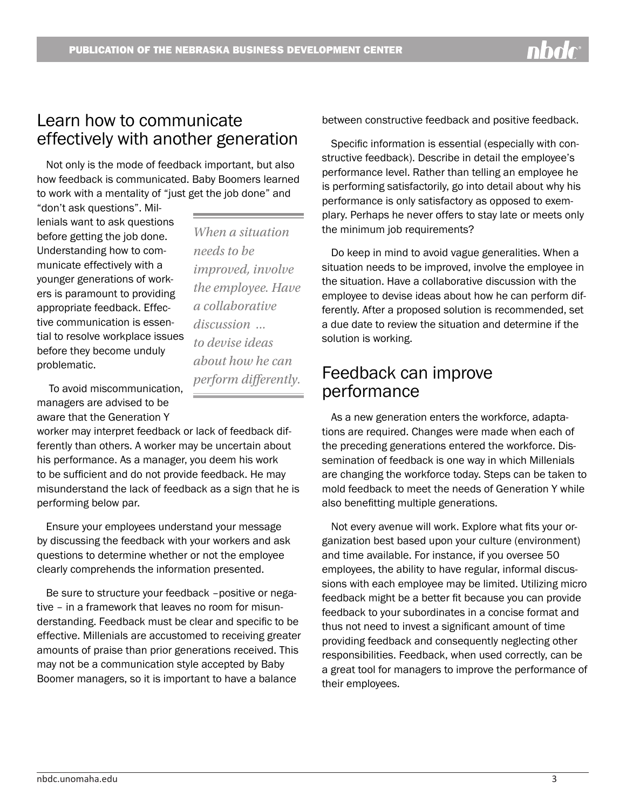*When a situation* 

*improved, involve the employee. Have* 

*a collaborative discussion ... to devise ideas* 

*about how he can perform differently.* 

*needs to be* 

#### Learn how to communicate effectively with another generation

Not only is the mode of feedback important, but also how feedback is communicated. Baby Boomers learned to work with a mentality of "just get the job done" and

"don't ask questions". Millenials want to ask questions before getting the job done. Understanding how to communicate effectively with a younger generations of workers is paramount to providing appropriate feedback. Effective communication is essential to resolve workplace issues before they become unduly problematic.

 To avoid miscommunication, managers are advised to be aware that the Generation Y

worker may interpret feedback or lack of feedback differently than others. A worker may be uncertain about his performance. As a manager, you deem his work to be sufficient and do not provide feedback. He may misunderstand the lack of feedback as a sign that he is performing below par.

Ensure your employees understand your message by discussing the feedback with your workers and ask questions to determine whether or not the employee clearly comprehends the information presented.

Be sure to structure your feedback –positive or negative – in a framework that leaves no room for misunderstanding. Feedback must be clear and specific to be effective. Millenials are accustomed to receiving greater amounts of praise than prior generations received. This may not be a communication style accepted by Baby Boomer managers, so it is important to have a balance

between constructive feedback and positive feedback.

Specific information is essential (especially with constructive feedback). Describe in detail the employee's performance level. Rather than telling an employee he is performing satisfactorily, go into detail about why his performance is only satisfactory as opposed to exemplary. Perhaps he never offers to stay late or meets only the minimum job requirements?

Do keep in mind to avoid vague generalities. When a situation needs to be improved, involve the employee in the situation. Have a collaborative discussion with the employee to devise ideas about how he can perform differently. After a proposed solution is recommended, set a due date to review the situation and determine if the solution is working.

### Feedback can improve performance

As a new generation enters the workforce, adaptations are required. Changes were made when each of the preceding generations entered the workforce. Dissemination of feedback is one way in which Millenials are changing the workforce today. Steps can be taken to mold feedback to meet the needs of Generation Y while also benefitting multiple generations.

Not every avenue will work. Explore what fits your organization best based upon your culture (environment) and time available. For instance, if you oversee 50 employees, the ability to have regular, informal discussions with each employee may be limited. Utilizing micro feedback might be a better fit because you can provide feedback to your subordinates in a concise format and thus not need to invest a significant amount of time providing feedback and consequently neglecting other responsibilities. Feedback, when used correctly, can be a great tool for managers to improve the performance of their employees.